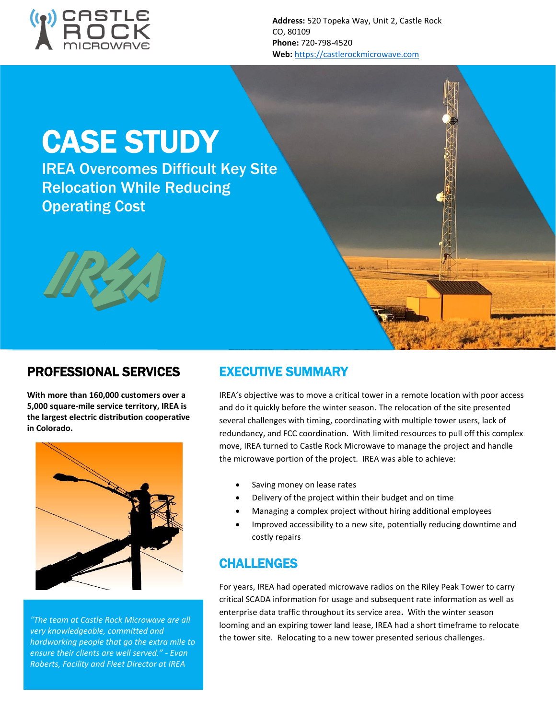

**Address:** 520 Topeka Way, Unit 2, Castle Rock CO, 80109 **Phone:** 720-798-4520 **Web:** [https://castlerockmicrowave.com](https://castlerockmicrowave.com/)

# CASE STUDY

IREA Overcomes Difficult Key Site Relocation While Reducing Operating Cost



## PROFESSIONAL SERVICES

**With more than 160,000 customers over a 5,000 square-mile service territory, IREA is the largest electric distribution cooperative in Colorado.** 



*"The team at Castle Rock Microwave are all very knowledgeable, committed and hardworking people that go the extra mile to ensure their clients are well served." - Evan Roberts, Facility and Fleet Director at IREA*

## EXECUTIVE SUMMARY

IREA's objective was to move a critical tower in a remote location with poor access and do it quickly before the winter season. The relocation of the site presented several challenges with timing, coordinating with multiple tower users, lack of redundancy, and FCC coordination. With limited resources to pull off this complex move, IREA turned to Castle Rock Microwave to manage the project and handle the microwave portion of the project. IREA was able to achieve:

- Saving money on lease rates
- Delivery of the project within their budget and on time
- Managing a complex project without hiring additional employees
- Improved accessibility to a new site, potentially reducing downtime and costly repairs

#### CHALLENGES

For years, IREA had operated microwave radios on the Riley Peak Tower to carry critical SCADA information for usage and subsequent rate information as well as enterprise data traffic throughout its service area**.** With the winter season looming and an expiring tower land lease, IREA had a short timeframe to relocate the tower site. Relocating to a new tower presented serious challenges.